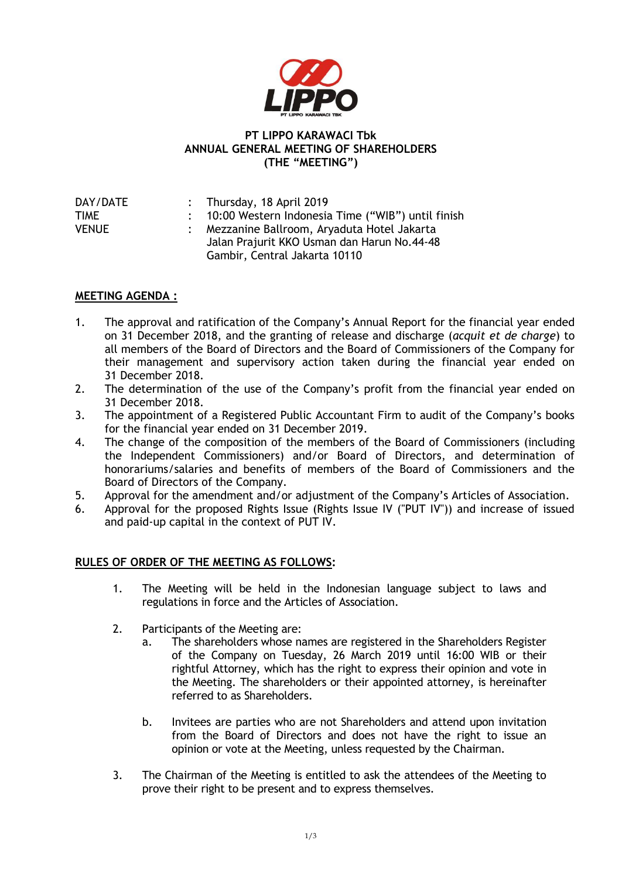

## **PT LIPPO KARAWACI Tbk ANNUAL GENERAL MEETING OF SHAREHOLDERS (THE "MEETING")**

| DAY/DATE | : Thursday, 18 April 2019                           |
|----------|-----------------------------------------------------|
| TIME     | : 10:00 Western Indonesia Time ("WIB") until finish |
| VENUE    | : Mezzanine Ballroom, Aryaduta Hotel Jakarta        |
|          | Jalan Prajurit KKO Usman dan Harun No.44-48         |
|          | Gambir, Central Jakarta 10110                       |

## **MEETING AGENDA :**

- 1. The approval and ratification of the Company's Annual Report for the financial year ended on 31 December 2018, and the granting of release and discharge (*acquit et de charge*) to all members of the Board of Directors and the Board of Commissioners of the Company for their management and supervisory action taken during the financial year ended on 31 December 2018.
- 2. The determination of the use of the Company's profit from the financial year ended on 31 December 2018.
- 3. The appointment of a Registered Public Accountant Firm to audit of the Company's books for the financial year ended on 31 December 2019.
- 4. The change of the composition of the members of the Board of Commissioners (including the Independent Commissioners) and/or Board of Directors, and determination of honorariums/salaries and benefits of members of the Board of Commissioners and the Board of Directors of the Company.
- 5. Approval for the amendment and/or adjustment of the Company's Articles of Association.
- 6. Approval for the proposed Rights Issue (Rights Issue IV ("PUT IV")) and increase of issued and paid-up capital in the context of PUT IV.

## **RULES OF ORDER OF THE MEETING AS FOLLOWS:**

- 1. The Meeting will be held in the Indonesian language subject to laws and regulations in force and the Articles of Association.
- 2. Participants of the Meeting are:
	- a. The shareholders whose names are registered in the Shareholders Register of the Company on Tuesday, 26 March 2019 until 16:00 WIB or their rightful Attorney, which has the right to express their opinion and vote in the Meeting. The shareholders or their appointed attorney, is hereinafter referred to as Shareholders.
	- b. Invitees are parties who are not Shareholders and attend upon invitation from the Board of Directors and does not have the right to issue an opinion or vote at the Meeting, unless requested by the Chairman.
- 3. The Chairman of the Meeting is entitled to ask the attendees of the Meeting to prove their right to be present and to express themselves.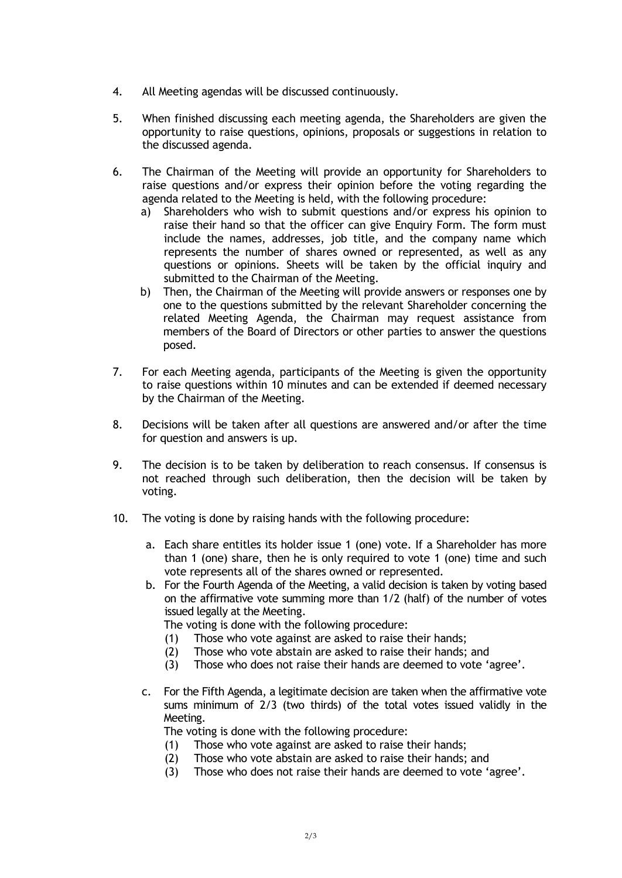- 4. All Meeting agendas will be discussed continuously.
- 5. When finished discussing each meeting agenda, the Shareholders are given the opportunity to raise questions, opinions, proposals or suggestions in relation to the discussed agenda.
- 6. The Chairman of the Meeting will provide an opportunity for Shareholders to raise questions and/or express their opinion before the voting regarding the agenda related to the Meeting is held, with the following procedure:
	- a) Shareholders who wish to submit questions and/or express his opinion to raise their hand so that the officer can give Enquiry Form. The form must include the names, addresses, job title, and the company name which represents the number of shares owned or represented, as well as any questions or opinions. Sheets will be taken by the official inquiry and submitted to the Chairman of the Meeting.
	- b) Then, the Chairman of the Meeting will provide answers or responses one by one to the questions submitted by the relevant Shareholder concerning the related Meeting Agenda, the Chairman may request assistance from members of the Board of Directors or other parties to answer the questions posed.
- 7. For each Meeting agenda, participants of the Meeting is given the opportunity to raise questions within 10 minutes and can be extended if deemed necessary by the Chairman of the Meeting.
- 8. Decisions will be taken after all questions are answered and/or after the time for question and answers is up.
- 9. The decision is to be taken by deliberation to reach consensus. If consensus is not reached through such deliberation, then the decision will be taken by voting.
- 10. The voting is done by raising hands with the following procedure:
	- a. Each share entitles its holder issue 1 (one) vote. If a Shareholder has more than 1 (one) share, then he is only required to vote 1 (one) time and such vote represents all of the shares owned or represented.
	- b. For the Fourth Agenda of the Meeting, a valid decision is taken by voting based on the affirmative vote summing more than 1/2 (half) of the number of votes issued legally at the Meeting.

The voting is done with the following procedure:

- (1) Those who vote against are asked to raise their hands;
- (2) Those who vote abstain are asked to raise their hands; and
- (3) Those who does not raise their hands are deemed to vote 'agree'.
- c. For the Fifth Agenda, a legitimate decision are taken when the affirmative vote sums minimum of 2/3 (two thirds) of the total votes issued validly in the Meeting.

The voting is done with the following procedure:

- (1) Those who vote against are asked to raise their hands;
- (2) Those who vote abstain are asked to raise their hands; and
- (3) Those who does not raise their hands are deemed to vote 'agree'.